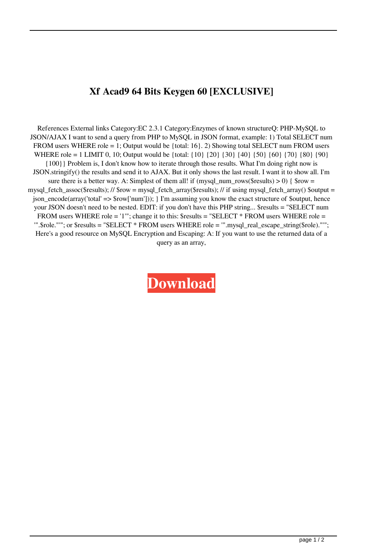## **Xf Acad9 64 Bits Keygen 60 [EXCLUSIVE]**

References External links Category:EC 2.3.1 Category:Enzymes of known structureQ: PHP-MySQL to JSON/AJAX I want to send a query from PHP to MySQL in JSON format, example: 1) Total SELECT num FROM users WHERE role = 1; Output would be {total:  $16$ }. 2) Showing total SELECT num FROM users WHERE role = 1 LIMIT 0, 10; Output would be {total: {10} {20} {30} {40} {50} {60} {70} {80} {90} {100}} Problem is, I don't know how to iterate through those results. What I'm doing right now is JSON.stringify() the results and send it to AJAX. But it only shows the last result. I want it to show all. I'm sure there is a better way. A: Simplest of them all! if (mysql\_num\_rows(\$results)  $> 0$ ) { \$row = mysql\_fetch\_assoc(\$results); // \$row = mysql\_fetch\_array(\$results); // if using mysql\_fetch\_array() \$output = json\_encode(array('total' => \$row['num'])); } I'm assuming you know the exact structure of \$output, hence your JSON doesn't need to be nested. EDIT: if you don't have this PHP string... \$results = "SELECT num FROM users WHERE role = '1'"; change it to this: \$results = "SELECT \* FROM users WHERE role = '".\$role."'"; or \$results = "SELECT \* FROM users WHERE role = '".mysql\_real\_escape\_string(\$role)."'"; Here's a good resource on MySQL Encryption and Escaping: A: If you want to use the returned data of a query as an array,

**[Download](https://shurll.com/2l0h0x)**